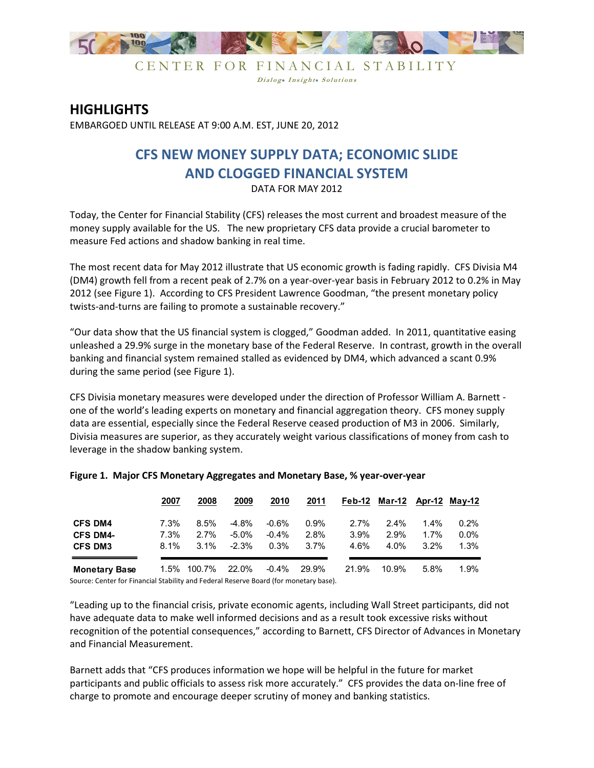

CENTER FOR FINANCIAL STABILITY Dialog. Insight. Solutions

## **HIGHLIGHTS**

EMBARGOED UNTIL RELEASE AT 9:00 A.M. EST, JUNE 20, 2012

## **CFS NEW MONEY SUPPLY DATA; ECONOMIC SLIDE AND CLOGGED FINANCIAL SYSTEM**

DATA FOR MAY 2012

Today, the Center for Financial Stability (CFS) releases the most current and broadest measure of the money supply available for the US. The new proprietary CFS data provide a crucial barometer to measure Fed actions and shadow banking in real time.

The most recent data for May 2012 illustrate that US economic growth is fading rapidly. CFS Divisia M4 (DM4) growth fell from a recent peak of 2.7% on a year-over-year basis in February 2012 to 0.2% in May 2012 (see Figure 1). According to CFS President Lawrence Goodman, "the present monetary policy twists-and-turns are failing to promote a sustainable recovery."

"Our data show that the US financial system is clogged," Goodman added. In 2011, quantitative easing unleashed a 29.9% surge in the monetary base of the Federal Reserve. In contrast, growth in the overall banking and financial system remained stalled as evidenced by DM4, which advanced a scant 0.9% during the same period (see Figure 1).

CFS Divisia monetary measures were developed under the direction of Professor William A. Barnett one of the world's leading experts on monetary and financial aggregation theory. CFS money supply data are essential, especially since the Federal Reserve ceased production of M3 in 2006. Similarly, Divisia measures are superior, as they accurately weight various classifications of money from cash to leverage in the shadow banking system.

|                      | 2007    | 2008        | 2009     | 2010     | 2011    |         | Feb-12 Mar-12 Apr-12 May-12 |         |         |
|----------------------|---------|-------------|----------|----------|---------|---------|-----------------------------|---------|---------|
| <b>CFS DM4</b>       | $7.3\%$ | $8.5\%$     | $-4.8%$  | $-0.6%$  | $0.9\%$ | $2.7\%$ | $2.4\%$                     | $1.4\%$ | 0.2%    |
| <b>CFS DM4-</b>      | 7.3%    | 2.7%        | $-5.0\%$ | $-0.4\%$ | 2.8%    | 3.9%    | $2.9\%$                     | 1.7%    | $0.0\%$ |
| <b>CFS DM3</b>       | $8.1\%$ | $3.1\%$     | $-2.3\%$ | 0.3%     | $3.7\%$ | 4.6%    | 4.0%                        | $3.2\%$ | 1.3%    |
| <b>Monetary Base</b> |         | 1.5% 100.7% | 22.0%    | -0.4%    | 29.9%   | 21.9%   | 10.9%                       | $5.8\%$ | $1.9\%$ |

## **Figure 1. Major CFS Monetary Aggregates and Monetary Base, % year-over-year**

Source: Center for Financial Stability and Federal Reserve Board (for monetary base).

"Leading up to the financial crisis, private economic agents, including Wall Street participants, did not have adequate data to make well informed decisions and as a result took excessive risks without recognition of the potential consequences," according to Barnett, CFS Director of Advances in Monetary and Financial Measurement.

Barnett adds that "CFS produces information we hope will be helpful in the future for market participants and public officials to assess risk more accurately." CFS provides the data on-line free of charge to promote and encourage deeper scrutiny of money and banking statistics.